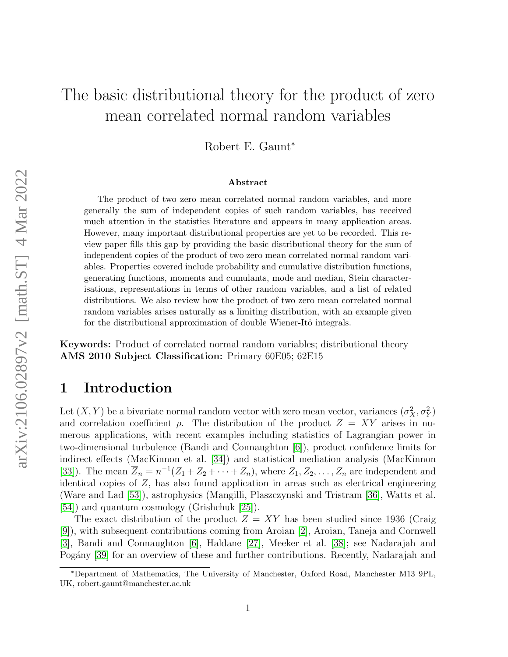# The basic distributional theory for the product of zero mean correlated normal random variables

Robert E. Gaunt<sup>∗</sup>

#### Abstract

The product of two zero mean correlated normal random variables, and more generally the sum of independent copies of such random variables, has received much attention in the statistics literature and appears in many application areas. However, many important distributional properties are yet to be recorded. This review paper fills this gap by providing the basic distributional theory for the sum of independent copies of the product of two zero mean correlated normal random variables. Properties covered include probability and cumulative distribution functions, generating functions, moments and cumulants, mode and median, Stein characterisations, representations in terms of other random variables, and a list of related distributions. We also review how the product of two zero mean correlated normal random variables arises naturally as a limiting distribution, with an example given for the distributional approximation of double Wiener-Itô integrals.

Keywords: Product of correlated normal random variables; distributional theory AMS 2010 Subject Classification: Primary 60E05; 62E15

## 1 Introduction

Let  $(X, Y)$  be a bivariate normal random vector with zero mean vector, variances  $(\sigma_X^2, \sigma_Y^2)$ and correlation coefficient  $\rho$ . The distribution of the product  $Z = XY$  arises in numerous applications, with recent examples including statistics of Lagrangian power in two-dimensional turbulence (Bandi and Connaughton [\[6\]](#page-18-0)), product confidence limits for indirect effects (MacKinnon et al. [\[34\]](#page-19-0)) and statistical mediation analysis (MacKinnon [\[33\]](#page-19-1)). The mean  $\overline{Z}_n = n^{-1}(Z_1 + Z_2 + \cdots + Z_n)$ , where  $Z_1, Z_2, \ldots, Z_n$  are independent and identical copies of Z, has also found application in areas such as electrical engineering (Ware and Lad [\[53\]](#page-20-0)), astrophysics (Mangilli, Plaszczynski and Tristram [\[36\]](#page-19-2), Watts et al. [\[54\]](#page-20-1)) and quantum cosmology (Grishchuk [\[25\]](#page-19-3)).

The exact distribution of the product  $Z = XY$  has been studied since 1936 (Craig [\[9\]](#page-18-1)), with subsequent contributions coming from Aroian [\[2\]](#page-18-2), Aroian, Taneja and Cornwell [\[3\]](#page-18-3), Bandi and Connaughton [\[6\]](#page-18-0), Haldane [\[27\]](#page-19-4), Meeker et al. [\[38\]](#page-19-5); see Nadarajah and Pogány [\[39\]](#page-19-6) for an overview of these and further contributions. Recently, Nadarajah and

<sup>∗</sup>Department of Mathematics, The University of Manchester, Oxford Road, Manchester M13 9PL, UK, robert.gaunt@manchester.ac.uk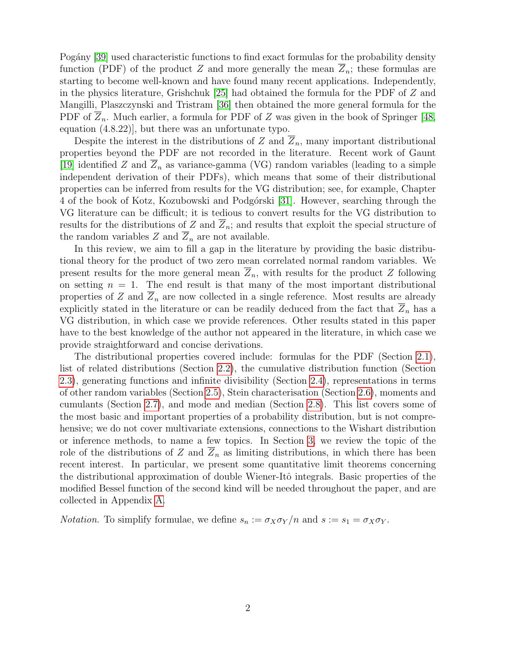Pogány [\[39\]](#page-19-6) used characteristic functions to find exact formulas for the probability density function (PDF) of the product Z and more generally the mean  $\overline{Z}_n$ ; these formulas are starting to become well-known and have found many recent applications. Independently, in the physics literature, Grishchuk [\[25\]](#page-19-3) had obtained the formula for the PDF of Z and Mangilli, Plaszczynski and Tristram [\[36\]](#page-19-2) then obtained the more general formula for the PDF of  $Z_n$ . Much earlier, a formula for PDF of Z was given in the book of Springer [\[48,](#page-19-7) equation (4.8.22)], but there was an unfortunate typo.

Despite the interest in the distributions of  $Z$  and  $Z_n$ , many important distributional properties beyond the PDF are not recorded in the literature. Recent work of Gaunt [\[19\]](#page-18-4) identified Z and  $\overline{Z}_n$  as variance-gamma (VG) random variables (leading to a simple independent derivation of their PDFs), which means that some of their distributional properties can be inferred from results for the VG distribution; see, for example, Chapter 4 of the book of Kotz, Kozubowski and Podgórski [\[31\]](#page-19-8). However, searching through the VG literature can be difficult; it is tedious to convert results for the VG distribution to results for the distributions of Z and  $\overline{Z}_n$ ; and results that exploit the special structure of the random variables Z and  $\overline{Z}_n$  are not available.

In this review, we aim to fill a gap in the literature by providing the basic distributional theory for the product of two zero mean correlated normal random variables. We present results for the more general mean  $Z_n$ , with results for the product Z following on setting  $n = 1$ . The end result is that many of the most important distributional properties of Z and  $\overline{Z}_n$  are now collected in a single reference. Most results are already explicitly stated in the literature or can be readily deduced from the fact that  $Z_n$  has a VG distribution, in which case we provide references. Other results stated in this paper have to the best knowledge of the author not appeared in the literature, in which case we provide straightforward and concise derivations.

The distributional properties covered include: formulas for the PDF (Section [2.1\)](#page-2-0), list of related distributions (Section [2.2\)](#page-3-0), the cumulative distribution function (Section [2.3\)](#page-4-0), generating functions and infinite divisibility (Section [2.4\)](#page-6-0), representations in terms of other random variables (Section [2.5\)](#page-6-1), Stein characterisation (Section [2.6\)](#page-8-0), moments and cumulants (Section [2.7\)](#page-8-1), and mode and median (Section [2.8\)](#page-11-0). This list covers some of the most basic and important properties of a probability distribution, but is not comprehensive; we do not cover multivariate extensions, connections to the Wishart distribution or inference methods, to name a few topics. In Section [3,](#page-14-0) we review the topic of the role of the distributions of Z and  $\overline{Z}_n$  as limiting distributions, in which there has been recent interest. In particular, we present some quantitative limit theorems concerning the distributional approximation of double Wiener-Itô integrals. Basic properties of the modified Bessel function of the second kind will be needed throughout the paper, and are collected in Appendix [A.](#page-16-0)

*Notation.* To simplify formulae, we define  $s_n := \sigma_X \sigma_Y/n$  and  $s := s_1 = \sigma_X \sigma_Y$ .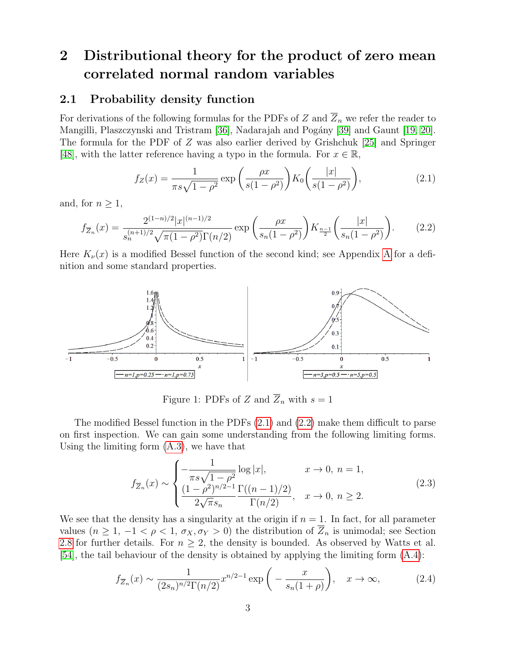## 2 Distributional theory for the product of zero mean correlated normal random variables

#### <span id="page-2-0"></span>2.1 Probability density function

For derivations of the following formulas for the PDFs of Z and  $\overline{Z}_n$  we refer the reader to Mangilli, Plaszczynski and Tristram [\[36\]](#page-19-2), Nadarajah and Pogány [\[39\]](#page-19-6) and Gaunt [\[19,](#page-18-4) [20\]](#page-18-5). The formula for the PDF of Z was also earlier derived by Grishchuk [\[25\]](#page-19-3) and Springer [\[48\]](#page-19-7), with the latter reference having a typo in the formula. For  $x \in \mathbb{R}$ ,

<span id="page-2-1"></span>
$$
f_Z(x) = \frac{1}{\pi s \sqrt{1 - \rho^2}} \exp\left(\frac{\rho x}{s(1 - \rho^2)}\right) K_0\left(\frac{|x|}{s(1 - \rho^2)}\right),\tag{2.1}
$$

and, for  $n \geq 1$ ,

<span id="page-2-2"></span>
$$
f_{\overline{Z}_n}(x) = \frac{2^{(1-n)/2} |x|^{(n-1)/2}}{s_n^{(n+1)/2} \sqrt{\pi (1-\rho^2)} \Gamma(n/2)} \exp\left(\frac{\rho x}{s_n(1-\rho^2)}\right) K_{\frac{n-1}{2}}\left(\frac{|x|}{s_n(1-\rho^2)}\right). \tag{2.2}
$$

Here  $K_{\nu}(x)$  is a modified Bessel function of the second kind; see [A](#page-16-0)ppendix A for a definition and some standard properties.



Figure 1: PDFs of  $Z$  and  $\overline{Z}_n$  with  $s = 1$ 

The modified Bessel function in the PDFs [\(2.1\)](#page-2-1) and [\(2.2\)](#page-2-2) make them difficult to parse on first inspection. We can gain some understanding from the following limiting forms. Using the limiting form [\(A.3\)](#page-17-0), we have that

<span id="page-2-4"></span>
$$
f_{\overline{Z}_n}(x) \sim \begin{cases} -\frac{1}{\pi s \sqrt{1-\rho^2}} \log |x|, & x \to 0, n = 1, \\ \frac{(1-\rho^2)^{n/2-1}}{2\sqrt{\pi} s_n} \frac{\Gamma((n-1)/2)}{\Gamma(n/2)}, & x \to 0, n \ge 2. \end{cases}
$$
(2.3)

We see that the density has a singularity at the origin if  $n = 1$ . In fact, for all parameter values  $(n \geq 1, -1 < \rho < 1, \sigma_X, \sigma_Y > 0)$  the distribution of  $\overline{Z}_n$  is unimodal; see Section [2.8](#page-11-0) for further details. For  $n \geq 2$ , the density is bounded. As observed by Watts et al. [\[54\]](#page-20-1), the tail behaviour of the density is obtained by applying the limiting form [\(A.4\)](#page-17-0):

<span id="page-2-3"></span>
$$
f_{\overline{Z}_n}(x) \sim \frac{1}{(2s_n)^{n/2} \Gamma(n/2)} x^{n/2 - 1} \exp\left(-\frac{x}{s_n(1+\rho)}\right), \quad x \to \infty,
$$
 (2.4)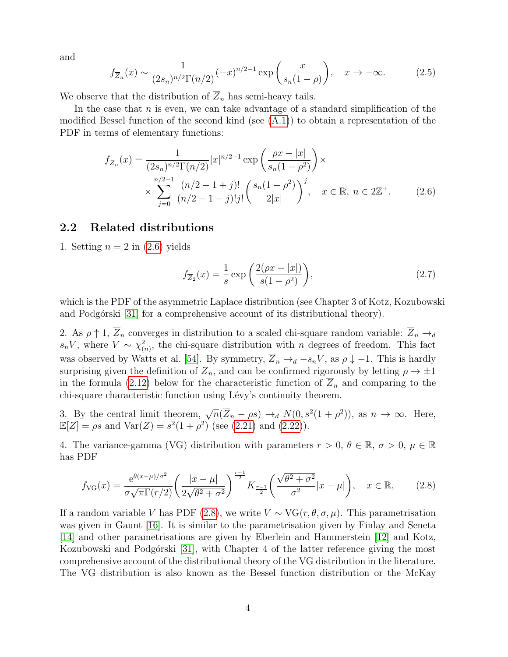and

<span id="page-3-3"></span>
$$
f_{\overline{Z}_n}(x) \sim \frac{1}{(2s_n)^{n/2} \Gamma(n/2)} (-x)^{n/2 - 1} \exp\left(\frac{x}{s_n(1 - \rho)}\right), \quad x \to -\infty.
$$
 (2.5)

We observe that the distribution of  $\overline{Z}_n$  has semi-heavy tails.

In the case that  $n$  is even, we can take advantage of a standard simplification of the modified Bessel function of the second kind (see  $(A.1)$ ) to obtain a representation of the PDF in terms of elementary functions:

$$
f_{\overline{Z}_n}(x) = \frac{1}{(2s_n)^{n/2} \Gamma(n/2)} |x|^{n/2 - 1} \exp\left(\frac{\rho x - |x|}{s_n(1 - \rho^2)}\right) \times \times \sum_{j=0}^{n/2 - 1} \frac{(n/2 - 1 + j)!}{(n/2 - 1 - j)! j!} \left(\frac{s_n(1 - \rho^2)}{2|x|}\right)^j, \quad x \in \mathbb{R}, n \in 2\mathbb{Z}^+.
$$
 (2.6)

#### <span id="page-3-0"></span>2.2 Related distributions

1. Setting  $n = 2$  in  $(2.6)$  yields

<span id="page-3-4"></span><span id="page-3-1"></span>
$$
f_{\overline{Z}_2}(x) = \frac{1}{s} \exp\left(\frac{2(\rho x - |x|)}{s(1 - \rho^2)}\right),\tag{2.7}
$$

which is the PDF of the asymmetric Laplace distribution (see Chapter 3 of Kotz, Kozubowski and Podgórski [\[31\]](#page-19-8) for a comprehensive account of its distributional theory).

2. As  $\rho \uparrow 1$ ,  $\overline{Z}_n$  converges in distribution to a scaled chi-square random variable:  $\overline{Z}_n \rightarrow_d$  $s_nV$ , where  $V \sim \chi^2_{(n)}$ , the chi-square distribution with n degrees of freedom. This fact was observed by Watts et al. [\[54\]](#page-20-1). By symmetry,  $\overline{Z}_n \rightarrow_d -s_nV$ , as  $\rho \downarrow -1$ . This is hardly surprising given the definition of  $\overline{Z}_n$ , and can be confirmed rigorously by letting  $\rho \to \pm 1$ in the formula [\(2.12\)](#page-6-2) below for the characteristic function of  $Z_n$  and comparing to the chi-square characteristic function using Lévy's continuity theorem.

3. By the central limit theorem,  $\sqrt{n}(\overline{Z}_n - \rho s) \rightarrow_d N(0, s^2(1 + \rho^2))$ , as  $n \rightarrow \infty$ . Here,  $\mathbb{E}[Z] = \rho s$  and  $\text{Var}(Z) = s^2(1+\rho^2)$  (see [\(2.21\)](#page-8-2) and [\(2.22\)](#page-8-3)).

4. The variance-gamma (VG) distribution with parameters  $r > 0$ ,  $\theta \in \mathbb{R}$ ,  $\sigma > 0$ ,  $\mu \in \mathbb{R}$ has PDF

<span id="page-3-2"></span>
$$
f_{\text{VG}}(x) = \frac{e^{\theta(x-\mu)/\sigma^2}}{\sigma\sqrt{\pi}\Gamma(r/2)} \left(\frac{|x-\mu|}{2\sqrt{\theta^2+\sigma^2}}\right)^{\frac{r-1}{2}} K_{\frac{r-1}{2}} \left(\frac{\sqrt{\theta^2+\sigma^2}}{\sigma^2}|x-\mu|\right), \quad x \in \mathbb{R},\qquad(2.8)
$$

If a random variable V has PDF [\(2.8\)](#page-3-2), we write  $V \sim \text{VG}(r, \theta, \sigma, \mu)$ . This parametrisation was given in Gaunt [\[16\]](#page-18-6). It is similar to the parametrisation given by Finlay and Seneta [\[14\]](#page-18-7) and other parametrisations are given by Eberlein and Hammerstein [\[12\]](#page-18-8) and Kotz, Kozubowski and Podgórski [\[31\]](#page-19-8), with Chapter 4 of the latter reference giving the most comprehensive account of the distributional theory of the VG distribution in the literature. The VG distribution is also known as the Bessel function distribution or the McKay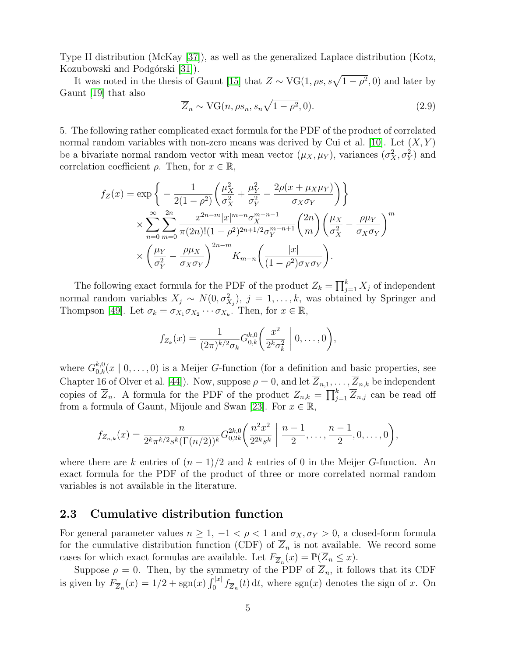Type II distribution (McKay [\[37\]](#page-19-9)), as well as the generalized Laplace distribution (Kotz, Kozubowski and Podgórski [\[31\]](#page-19-8)).

It was noted in the thesis of Gaunt [\[15\]](#page-18-9) that  $Z \sim \text{VG}(1, \rho s, s\sqrt{1-\rho^2}, 0)$  and later by Gaunt [\[19\]](#page-18-4) that also

<span id="page-4-1"></span>
$$
\overline{Z}_n \sim \text{VG}(n, \rho s_n, s_n \sqrt{1 - \rho^2}, 0). \tag{2.9}
$$

5. The following rather complicated exact formula for the PDF of the product of correlated normal random variables with non-zero means was derived by Cui et al. [\[10\]](#page-18-10). Let  $(X, Y)$ be a bivariate normal random vector with mean vector  $(\mu_X, \mu_Y)$ , variances  $(\sigma_X^2, \sigma_Y^2)$  and correlation coefficient  $\rho$ . Then, for  $x \in \mathbb{R}$ ,

$$
f_Z(x) = \exp\left\{-\frac{1}{2(1-\rho^2)} \left(\frac{\mu_X^2}{\sigma_X^2} + \frac{\mu_Y^2}{\sigma_Y^2} - \frac{2\rho(x + \mu_X\mu_Y)}{\sigma_X\sigma_Y}\right)\right\}
$$
  
\$\times \sum\_{n=0}^{\infty} \sum\_{m=0}^{2n} \frac{x^{2n-m} |x|^{m-n} \sigma\_X^{m-n-1}}{\pi (2n)!(1-\rho^2)^{2n+1/2} \sigma\_Y^{m-n+1}} \binom{2n}{m} \left(\frac{\mu\_X}{\sigma\_X^2} - \frac{\rho \mu\_Y}{\sigma\_X\sigma\_Y}\right)^m\$  
\$\times \left(\frac{\mu\_Y}{\sigma\_Y^2} - \frac{\rho \mu\_X}{\sigma\_X\sigma\_Y}\right)^{2n-m} K\_{m-n} \left(\frac{|x|}{(1-\rho^2)\sigma\_X\sigma\_Y}\right).

The following exact formula for the PDF of the product  $Z_k = \prod_{j=1}^k X_j$  of independent normal random variables  $X_j \sim N(0, \sigma_{X_j}^2)$ ,  $j = 1, \ldots, k$ , was obtained by Springer and Thompson [\[49\]](#page-20-2). Let  $\sigma_k = \sigma_{X_1} \sigma_{X_2} \cdots \sigma_{X_k}$ . Then, for  $x \in \mathbb{R}$ ,

$$
f_{Z_k}(x) = \frac{1}{(2\pi)^{k/2} \sigma_k} G_{0,k}^{k,0} \left( \frac{x^2}{2^k \sigma_k^2} \middle| 0, \ldots, 0 \right),
$$

where  $G_{0,k}^{k,0}(x \mid 0, \ldots, 0)$  is a Meijer G-function (for a definition and basic properties, see Chapter 16 of Olver et al. [\[44\]](#page-19-10)). Now, suppose  $\rho = 0$ , and let  $\overline{Z}_{n,1}, \ldots, \overline{Z}_{n,k}$  be independent copies of  $\overline{Z}_n$ . A formula for the PDF of the product  $Z_{n,k} = \prod_{j=1}^k \overline{Z}_{n,j}$  can be read off from a formula of Gaunt, Mijoule and Swan [\[23\]](#page-18-11). For  $x \in \mathbb{R}$ ,

$$
f_{Z_{n,k}}(x) = \frac{n}{2^k \pi^{k/2} s^k (\Gamma(n/2))^k} G_{0,2k}^{2k,0} \left( \frac{n^2 x^2}{2^{2k} s^k} \middle| \frac{n-1}{2}, \ldots, \frac{n-1}{2}, 0, \ldots, 0 \right),
$$

where there are k entries of  $(n-1)/2$  and k entries of 0 in the Meijer G-function. An exact formula for the PDF of the product of three or more correlated normal random variables is not available in the literature.

#### <span id="page-4-0"></span>2.3 Cumulative distribution function

For general parameter values  $n \geq 1, -1 < \rho < 1$  and  $\sigma_X, \sigma_Y > 0$ , a closed-form formula for the cumulative distribution function (CDF) of  $\overline{Z}_n$  is not available. We record some cases for which exact formulas are available. Let  $F_{\overline{Z}_n}(x) = \mathbb{P}(\overline{Z}_n \leq x)$ .

Suppose  $\rho = 0$ . Then, by the symmetry of the PDF of  $\overline{Z}_n$ , it follows that its CDF is given by  $F_{\overline{Z}_n}(x) = 1/2 + \text{sgn}(x) \int_0^{|x|} f_{\overline{Z}_n}(t) dt$ , where  $\text{sgn}(x)$  denotes the sign of x. On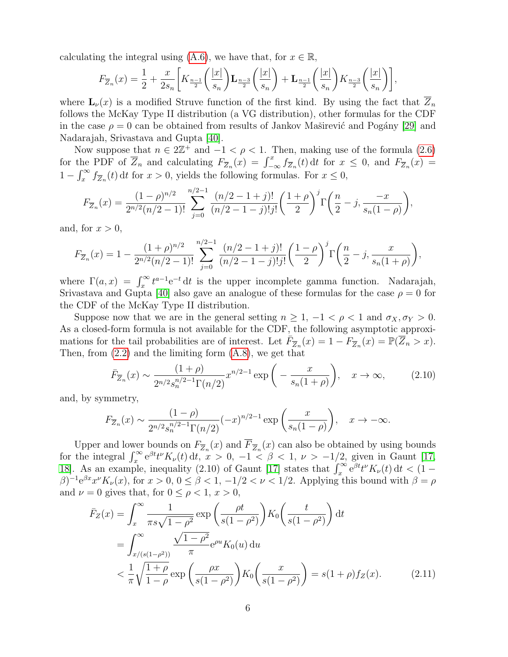calculating the integral using  $(A.6)$ , we have that, for  $x \in \mathbb{R}$ ,

$$
F_{\overline{Z}_n}(x) = \frac{1}{2} + \frac{x}{2s_n} \left[ K_{\frac{n-1}{2}} \left( \frac{|x|}{s_n} \right) \mathbf{L}_{\frac{n-3}{2}} \left( \frac{|x|}{s_n} \right) + \mathbf{L}_{\frac{n-1}{2}} \left( \frac{|x|}{s_n} \right) K_{\frac{n-3}{2}} \left( \frac{|x|}{s_n} \right) \right],
$$

where  $\mathbf{L}_{\nu}(x)$  is a modified Struve function of the first kind. By using the fact that  $\overline{Z}_n$ follows the McKay Type II distribution (a VG distribution), other formulas for the CDF in the case  $\rho = 0$  can be obtained from results of Jankov Maširević and Pogány [\[29\]](#page-19-11) and Nadarajah, Srivastava and Gupta [\[40\]](#page-19-12).

Now suppose that  $n \in 2\mathbb{Z}^+$  and  $-1 < \rho < 1$ . Then, making use of the formula [\(2.6\)](#page-3-1) for the PDF of  $\overline{Z}_n$  and calculating  $F_{\overline{Z}_n}(x) = \int_{-\infty}^x f_{\overline{Z}_n}(t) dt$  for  $x \leq 0$ , and  $F_{\overline{Z}_n}(x) =$  $1 - \int_x^{\infty} f_{\overline{Z}_n}(t) dt$  for  $x > 0$ , yields the following formulas. For  $x \leq 0$ ,

$$
F_{\overline{Z}_n}(x) = \frac{(1-\rho)^{n/2}}{2^{n/2}(n/2-1)!} \sum_{j=0}^{n/2-1} \frac{(n/2-1+j)!}{(n/2-1-j)!j!} \left(\frac{1+\rho}{2}\right)^j \Gamma\left(\frac{n}{2}-j, \frac{-x}{s_n(1-\rho)}\right),
$$

and, for  $x > 0$ ,

$$
F_{\overline{Z}_n}(x) = 1 - \frac{(1+\rho)^{n/2}}{2^{n/2}(n/2-1)!} \sum_{j=0}^{n/2-1} \frac{(n/2-1+j)!}{(n/2-1-j)!j!} \left(\frac{1-\rho}{2}\right)^j \Gamma\left(\frac{n}{2}-j, \frac{x}{s_n(1+\rho)}\right),
$$

where  $\Gamma(a,x) = \int_x^{\infty} t^{a-1} e^{-t} dt$  is the upper incomplete gamma function. Nadarajah, Srivastava and Gupta [\[40\]](#page-19-12) also gave an analogue of these formulas for the case  $\rho = 0$  for the CDF of the McKay Type II distribution.

Suppose now that we are in the general setting  $n \geq 1, -1 < \rho < 1$  and  $\sigma_X, \sigma_Y > 0$ . As a closed-form formula is not available for the CDF, the following asymptotic approximations for the tail probabilities are of interest. Let  $\overline{F}_{\overline{Z}_n}(x) = 1 - \overline{F}_{\overline{Z}_n}(x) = \mathbb{P}(\overline{Z}_n > x)$ . Then, from  $(2.2)$  and the limiting form  $(A.8)$ , we get that

<span id="page-5-1"></span>
$$
\bar{F}_{Z_n}(x) \sim \frac{(1+\rho)}{2^{n/2} s_n^{n/2-1} \Gamma(n/2)} x^{n/2-1} \exp\left(-\frac{x}{s_n(1+\rho)}\right), \quad x \to \infty,
$$
 (2.10)

and, by symmetry,

$$
F_{Z_n}(x) \sim \frac{(1-\rho)}{2^{n/2} s_n^{n/2-1} \Gamma(n/2)} (-x)^{n/2-1} \exp\left(\frac{x}{s_n(1-\rho)}\right), \quad x \to -\infty.
$$

Upper and lower bounds on  $F_{\overline{Z}_n}(x)$  and  $F_{\overline{Z}_n}(x)$  can also be obtained by using bounds for the integral  $\int_x^{\infty} e^{\beta t} t^{\nu} K_{\nu}(t) dt$ ,  $x > 0$ ,  $-1 < \beta < 1$ ,  $\nu > -1/2$ , given in Gaunt [\[17,](#page-18-12) [18\]](#page-18-13). As an example, inequality (2.10) of Gaunt [\[17\]](#page-18-12) states that  $\int_x^{\infty} e^{\beta t} t^{\nu} K_{\nu}(t) dt < (1 (\beta)^{-1}e^{\beta x}x^{\nu}K_{\nu}(x)$ , for  $x > 0$ ,  $0 \le \beta < 1$ ,  $-1/2 < \nu < 1/2$ . Applying this bound with  $\beta = \rho$ and  $\nu = 0$  gives that, for  $0 \leq \rho < 1$ ,  $x > 0$ ,

<span id="page-5-0"></span>
$$
\bar{F}_Z(x) = \int_x^\infty \frac{1}{\pi s \sqrt{1 - \rho^2}} \exp\left(\frac{\rho t}{s(1 - \rho^2)}\right) K_0\left(\frac{t}{s(1 - \rho^2)}\right) dt
$$
\n
$$
= \int_{x/(s(1 - \rho^2))}^\infty \frac{\sqrt{1 - \rho^2}}{\pi} e^{\rho u} K_0(u) du
$$
\n
$$
< \frac{1}{\pi} \sqrt{\frac{1 + \rho}{1 - \rho}} \exp\left(\frac{\rho x}{s(1 - \rho^2)}\right) K_0\left(\frac{x}{s(1 - \rho^2)}\right) = s(1 + \rho) f_Z(x). \tag{2.11}
$$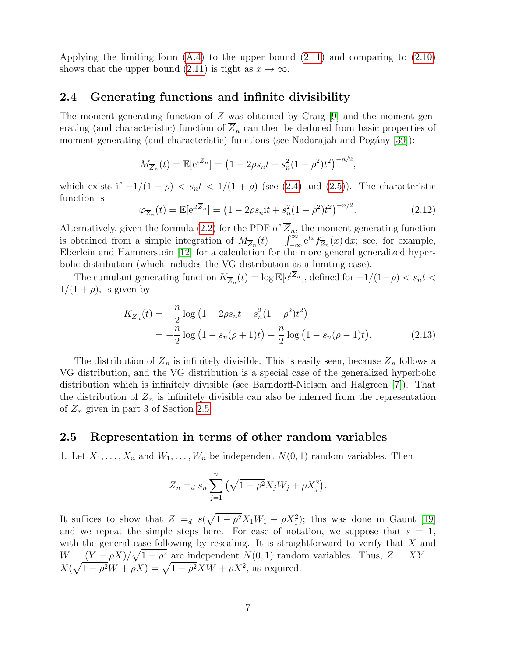Applying the limiting form  $(A.4)$  to the upper bound  $(2.11)$  and comparing to  $(2.10)$ shows that the upper bound [\(2.11\)](#page-5-0) is tight as  $x \to \infty$ .

#### <span id="page-6-0"></span>2.4 Generating functions and infinite divisibility

The moment generating function of Z was obtained by Craig [\[9\]](#page-18-1) and the moment generating (and characteristic) function of  $\overline{Z}_n$  can then be deduced from basic properties of moment generating (and characteristic) functions (see Nadarajah and Pogány  $[39]$ ):

$$
M_{\overline{Z}_n}(t) = \mathbb{E}[e^{t\overline{Z}_n}] = (1 - 2\rho s_n t - s_n^2 (1 - \rho^2) t^2)^{-n/2},
$$

which exists if  $-1/(1 - \rho) < s_n t < 1/(1 + \rho)$  (see [\(2.4\)](#page-2-3) and [\(2.5\)](#page-3-3)). The characteristic function is

<span id="page-6-2"></span>
$$
\varphi_{\overline{Z}_n}(t) = \mathbb{E}[\mathrm{e}^{\mathrm{i}t\overline{Z}_n}] = \left(1 - 2\rho s_n \mathrm{i}t + s_n^2(1 - \rho^2)t^2\right)^{-n/2}.\tag{2.12}
$$

Alternatively, given the formula [\(2.2\)](#page-2-2) for the PDF of  $\overline{Z}_n$ , the moment generating function is obtained from a simple integration of  $M_{\overline{Z}_n}(t) = \int_{-\infty}^{\infty} e^{tx} f_{\overline{Z}_n}(x) dx$ ; see, for example, Eberlein and Hammerstein [\[12\]](#page-18-8) for a calculation for the more general generalized hyperbolic distribution (which includes the VG distribution as a limiting case).

The cumulant generating function  $K_{\overline{Z}_n}(t) = \log \mathbb{E}[\mathrm{e}^{t\overline{Z}_n}]$ , defined for  $-1/(1-\rho) < s_n t <$  $1/(1+\rho)$ , is given by

$$
K_{\overline{Z}_n}(t) = -\frac{n}{2}\log\left(1 - 2\rho s_n t - s_n^2 (1 - \rho^2)t^2\right)
$$
  
= 
$$
-\frac{n}{2}\log\left(1 - s_n(\rho + 1)t\right) - \frac{n}{2}\log\left(1 - s_n(\rho - 1)t\right).
$$
 (2.13)

The distribution of  $\overline{Z}_n$  is infinitely divisible. This is easily seen, because  $\overline{Z}_n$  follows a VG distribution, and the VG distribution is a special case of the generalized hyperbolic distribution which is infinitely divisible (see Barndorff-Nielsen and Halgreen [\[7\]](#page-18-14)). That the distribution of  $\overline{Z}_n$  is infinitely divisible can also be inferred from the representation of  $Z_n$  given in part 3 of Section [2.5.](#page-6-1)

#### <span id="page-6-1"></span>2.5 Representation in terms of other random variables

1. Let  $X_1, \ldots, X_n$  and  $W_1, \ldots, W_n$  be independent  $N(0, 1)$  random variables. Then

<span id="page-6-3"></span>
$$
\overline{Z}_n =_d s_n \sum_{j=1}^n \left( \sqrt{1 - \rho^2} X_j W_j + \rho X_j^2 \right).
$$

It suffices to show that  $Z =_d s(\sqrt{1-\rho^2}X_1W_1 + \rho X_1^2)$ ; this was done in Gaunt [\[19\]](#page-18-4) and we repeat the simple steps here. For ease of notation, we suppose that  $s = 1$ , with the general case following by rescaling. It is straightforward to verify that X and  $W = (Y - \rho X)/\sqrt{1 - \rho^2}$  are independent  $N(0, 1)$  random variables. Thus,  $Z = XY =$  $X(\sqrt{1-\rho^2}W+\rho X)=\sqrt{1-\rho^2}XW+\rho X^2$ , as required.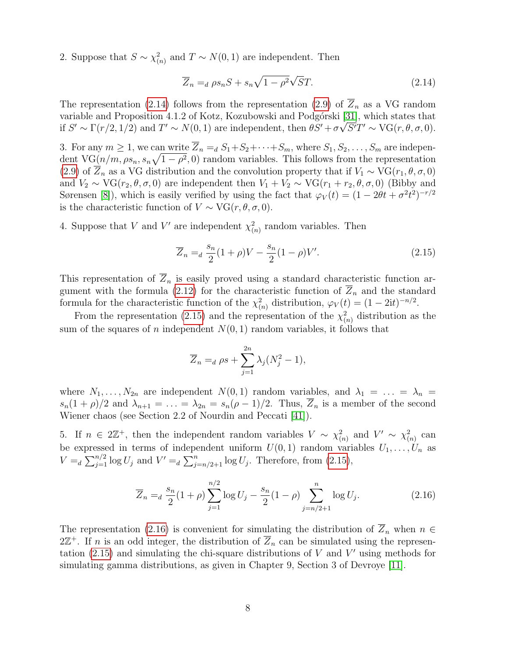2. Suppose that  $S \sim \chi^2_{(n)}$  and  $T \sim N(0, 1)$  are independent. Then

<span id="page-7-0"></span>
$$
\overline{Z}_n =_d \rho s_n S + s_n \sqrt{1 - \rho^2} \sqrt{S} T. \tag{2.14}
$$

The representation [\(2.14\)](#page-7-0) follows from the representation [\(2.9\)](#page-4-1) of  $\overline{Z}_n$  as a VG random variable and Proposition 4.1.2 of Kotz, Kozubowski and Podgórski  $[31]$ , which states that if  $S' \sim \Gamma(r/2, 1/2)$  and  $T' \sim N(0, 1)$  are independent, then  $\theta S' + \sigma \sqrt{S'}T' \sim \text{VG}(r, \theta, \sigma, 0)$ .

3. For any  $m \geq 1$ , we can write  $\overline{Z}_n =_d S_1 + S_2 + \cdots + S_m$ , where  $S_1, S_2, \ldots, S_m$  are independent VG $(n/m, \rho s_n, s_n\sqrt{1-\rho^2}, 0)$  random variables. This follows from the representation [\(2.9\)](#page-4-1) of  $\overline{Z}_n$  as a VG distribution and the convolution property that if  $V_1 \sim \text{VG}(r_1, \theta, \sigma, 0)$ and  $V_2 \sim \text{VG}(r_2, \theta, \sigma, 0)$  are independent then  $V_1 + V_2 \sim \text{VG}(r_1 + r_2, \theta, \sigma, 0)$  (Bibby and Sørensen [\[8\]](#page-18-15)), which is easily verified by using the fact that  $\varphi_V(t) = (1 - 2\theta t + \sigma^2 t^2)^{-r/2}$ is the characteristic function of  $V \sim \text{VG}(r, \theta, \sigma, 0)$ .

4. Suppose that V and V' are independent  $\chi^2_{(n)}$  random variables. Then

<span id="page-7-1"></span>
$$
\overline{Z}_n =_d \frac{s_n}{2} (1+\rho)V - \frac{s_n}{2} (1-\rho)V'. \tag{2.15}
$$

This representation of  $\overline{Z}_n$  is easily proved using a standard characteristic function ar-gument with the formula [\(2.12\)](#page-6-2) for the characteristic function of  $Z_n$  and the standard formula for the characteristic function of the  $\chi^2_{(n)}$  distribution,  $\varphi_V(t) = (1 - 2it)^{-n/2}$ .

From the representation [\(2.15\)](#page-7-1) and the representation of the  $\chi^2_{(n)}$  distribution as the sum of the squares of n independent  $N(0, 1)$  random variables, it follows that

$$
\overline{Z}_n =_d \rho s + \sum_{j=1}^{2n} \lambda_j (N_j^2 - 1),
$$

where  $N_1, \ldots, N_{2n}$  are independent  $N(0, 1)$  random variables, and  $\lambda_1 = \ldots = \lambda_n =$  $s_n(1+\rho)/2$  and  $\lambda_{n+1} = \ldots = \lambda_{2n} = s_n(\rho-1)/2$ . Thus,  $\overline{Z}_n$  is a member of the second Wiener chaos (see Section 2.2 of Nourdin and Peccati [\[41\]](#page-19-13)).

5. If  $n \in 2\mathbb{Z}^+$ , then the independent random variables  $V \sim \chi^2_{(n)}$  and  $V' \sim \chi^2_{(n)}$  can be expressed in terms of independent uniform  $U(0, 1)$  random variables  $U_1, \ldots, U_n$  as  $V =_d \sum_{j=1}^{n/2} \log U_j$  and  $V' =_d \sum_{j=n/2+1}^{n} \log U_j$ . Therefore, from [\(2.15\)](#page-7-1),

<span id="page-7-2"></span>
$$
\overline{Z}_n =_d \frac{s_n}{2} (1+\rho) \sum_{j=1}^{n/2} \log U_j - \frac{s_n}{2} (1-\rho) \sum_{j=n/2+1}^n \log U_j.
$$
 (2.16)

The representation [\(2.16\)](#page-7-2) is convenient for simulating the distribution of  $\overline{Z}_n$  when  $n \in$  $2\mathbb{Z}^+$ . If n is an odd integer, the distribution of  $\overline{Z}_n$  can be simulated using the representation  $(2.15)$  and simulating the chi-square distributions of V and V' using methods for simulating gamma distributions, as given in Chapter 9, Section 3 of Devroye [\[11\]](#page-18-16).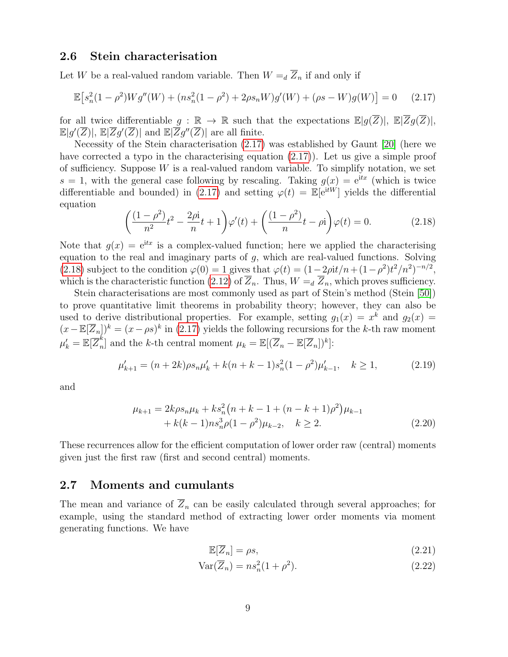#### <span id="page-8-0"></span>2.6 Stein characterisation

Let W be a real-valued random variable. Then  $W =_{d} \overline{Z}_n$  if and only if

$$
\mathbb{E}\left[s_n^2(1-\rho^2)Wg''(W) + (ns_n^2(1-\rho^2) + 2\rho s_n W)g'(W) + (\rho s - W)g(W)\right] = 0 \quad (2.17)
$$

for all twice differentiable  $g : \mathbb{R} \to \mathbb{R}$  such that the expectations  $\mathbb{E}[g(\overline{Z})], \ \mathbb{E}[\overline{Z}g(\overline{Z})],$  $\mathbb{E}[g'(\overline{Z})], \mathbb{E}|\overline{Z}g'(\overline{Z})|$  and  $\mathbb{E}|\overline{Z}g''(\overline{Z})|$  are all finite.

Necessity of the Stein characterisation [\(2.17\)](#page-8-4) was established by Gaunt [\[20\]](#page-18-5) (here we have corrected a typo in the characterising equation [\(2.17\)](#page-8-4)). Let us give a simple proof of sufficiency. Suppose  $W$  is a real-valued random variable. To simplify notation, we set  $s = 1$ , with the general case following by rescaling. Taking  $g(x) = e^{itx}$  (which is twice differentiable and bounded) in [\(2.17\)](#page-8-4) and setting  $\varphi(t) = \mathbb{E}[e^{itW}]$  yields the differential equation

<span id="page-8-5"></span><span id="page-8-4"></span>
$$
\left(\frac{(1-\rho^2)}{n^2}t^2 - \frac{2\rho i}{n}t + 1\right)\varphi'(t) + \left(\frac{(1-\rho^2)}{n}t - \rho i\right)\varphi(t) = 0.
$$
 (2.18)

Note that  $q(x) = e^{itx}$  is a complex-valued function; here we applied the characterising equation to the real and imaginary parts of g, which are real-valued functions. Solving [\(2.18\)](#page-8-5) subject to the condition  $\varphi(0) = 1$  gives that  $\varphi(t) = (1 - 2\rho i t/n + (1 - \rho^2)t^2/n^2)^{-n/2}$ , which is the characteristic function [\(2.12\)](#page-6-2) of  $\overline{Z}_n$ . Thus,  $W = \overline{Z}_n$ , which proves sufficiency.

Stein characterisations are most commonly used as part of Stein's method (Stein [\[50\]](#page-20-3)) to prove quantitative limit theorems in probability theory; however, they can also be used to derive distributional properties. For example, setting  $g_1(x) = x^k$  and  $g_2(x) =$  $(x - \mathbb{E}[\overline{Z}_n])^k = (x - \rho s)^k$  in [\(2.17\)](#page-8-4) yields the following recursions for the k-th raw moment  $\mu_k' = \mathbb{E}[\overline{Z}_n^k]$  $\binom{k}{n}$  and the k-th central moment  $\mu_k = \mathbb{E}[(\overline{Z}_n - \mathbb{E}[\overline{Z}_n])^k]$ :

$$
\mu'_{k+1} = (n+2k)\rho s_n \mu'_k + k(n+k-1)s_n^2(1-\rho^2)\mu'_{k-1}, \quad k \ge 1,
$$
\n(2.19)

and

$$
\mu_{k+1} = 2k\rho s_n \mu_k + k s_n^2 (n + k - 1 + (n - k + 1)\rho^2) \mu_{k-1} + k(k - 1)ns_n^3 \rho (1 - \rho^2) \mu_{k-2}, \quad k \ge 2.
$$
 (2.20)

These recurrences allow for the efficient computation of lower order raw (central) moments given just the first raw (first and second central) moments.

#### <span id="page-8-1"></span>2.7 Moments and cumulants

The mean and variance of  $\overline{Z}_n$  can be easily calculated through several approaches; for example, using the standard method of extracting lower order moments via moment generating functions. We have

<span id="page-8-7"></span><span id="page-8-6"></span><span id="page-8-3"></span><span id="page-8-2"></span>
$$
\mathbb{E}\left[\overline{Z}_n\right] = \rho s,\tag{2.21}
$$

$$
\text{Var}(\overline{Z}_n) = n s_n^2 (1 + \rho^2). \tag{2.22}
$$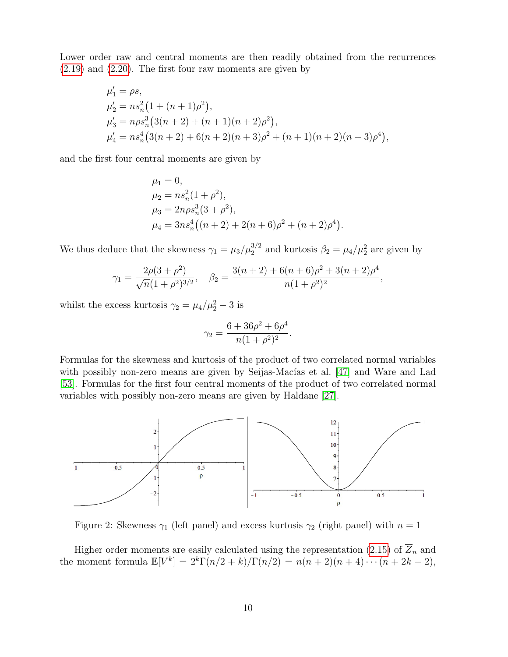Lower order raw and central moments are then readily obtained from the recurrences [\(2.19\)](#page-8-6) and [\(2.20\)](#page-8-7). The first four raw moments are given by

$$
\mu'_1 = \rho s,
$$
  
\n
$$
\mu'_2 = n s_n^2 (1 + (n+1)\rho^2),
$$
  
\n
$$
\mu'_3 = n \rho s_n^3 (3(n+2) + (n+1)(n+2)\rho^2),
$$
  
\n
$$
\mu'_4 = n s_n^4 (3(n+2) + 6(n+2)(n+3)\rho^2 + (n+1)(n+2)(n+3)\rho^4),
$$

and the first four central moments are given by

$$
\mu_1 = 0,
$$
  
\n
$$
\mu_2 = n s_n^2 (1 + \rho^2),
$$
  
\n
$$
\mu_3 = 2n \rho s_n^3 (3 + \rho^2),
$$
  
\n
$$
\mu_4 = 3n s_n^4 ((n+2) + 2(n+6)\rho^2 + (n+2)\rho^4).
$$

We thus deduce that the skewness  $\gamma_1 = \mu_3/\mu_2^{3/2}$  and kurtosis  $\beta_2 = \mu_4/\mu_2^2$  are given by

$$
\gamma_1 = \frac{2\rho(3+\rho^2)}{\sqrt{n}(1+\rho^2)^{3/2}}, \quad \beta_2 = \frac{3(n+2)+6(n+6)\rho^2+3(n+2)\rho^4}{n(1+\rho^2)^2},
$$

whilst the excess kurtosis  $\gamma_2 = \mu_4/\mu_2^2 - 3$  is

$$
\gamma_2 = \frac{6 + 36\rho^2 + 6\rho^4}{n(1 + \rho^2)^2}.
$$

Formulas for the skewness and kurtosis of the product of two correlated normal variables with possibly non-zero means are given by Seijas-Macías et al. [\[47\]](#page-19-14) and Ware and Lad [\[53\]](#page-20-0). Formulas for the first four central moments of the product of two correlated normal variables with possibly non-zero means are given by Haldane [\[27\]](#page-19-4).



Figure 2: Skewness  $\gamma_1$  (left panel) and excess kurtosis  $\gamma_2$  (right panel) with  $n=1$ 

Higher order moments are easily calculated using the representation [\(2.15\)](#page-7-1) of  $\overline{Z}_n$  and the moment formula  $\mathbb{E}[V^k] = 2^k \Gamma(n/2 + k) / \Gamma(n/2) = n(n+2)(n+4) \cdots (n+2k-2),$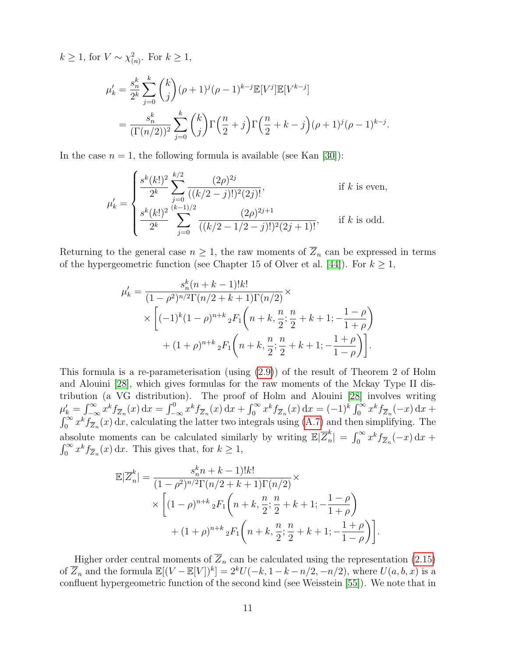$k \geq 1$ , for  $V \sim \chi^2_{(n)}$ . For  $k \geq 1$ ,

$$
\mu'_{k} = \frac{s_{n}^{k}}{2^{k}} \sum_{j=0}^{k} {k \choose j} (\rho+1)^{j} (\rho-1)^{k-j} \mathbb{E}[V^{j}] \mathbb{E}[V^{k-j}]
$$
  
= 
$$
\frac{s_{n}^{k}}{(\Gamma(n/2))^{2}} \sum_{j=0}^{k} {k \choose j} \Gamma(\frac{n}{2}+j) \Gamma(\frac{n}{2}+k-j) (\rho+1)^{j} (\rho-1)^{k-j}.
$$

In the case  $n = 1$ , the following formula is available (see Kan [\[30\]](#page-19-15)):

$$
\mu'_{k} = \begin{cases}\n\frac{s^{k}(k!)^{2}}{2^{k}} \sum_{j=0}^{k/2} \frac{(2\rho)^{2j}}{((k/2 - j)!)^{2}(2j)!}, & \text{if } k \text{ is even,} \\
\frac{s^{k}(k!)^{2}}{2^{k}} \sum_{j=0}^{(k-1)/2} \frac{(2\rho)^{2j+1}}{((k/2 - 1/2 - j)!)^{2}(2j+1)!}, & \text{if } k \text{ is odd.} \n\end{cases}
$$

Returning to the general case  $n \geq 1$ , the raw moments of  $\overline{Z}_n$  can be expressed in terms of the hypergeometric function (see Chapter 15 of Olver et al. [\[44\]](#page-19-10)). For  $k \geq 1$ ,

$$
\mu'_{k} = \frac{s_{n}^{k}(n+k-1)!k!}{(1-\rho^{2})^{n/2}\Gamma(n/2+k+1)\Gamma(n/2)} \times \times \left[ (-1)^{k}(1-\rho)^{n+k} {}_{2}F_{1}\left(n+k, \frac{n}{2}; \frac{n}{2}+k+1; -\frac{1-\rho}{1+\rho}\right) + (1+\rho)^{n+k} {}_{2}F_{1}\left(n+k, \frac{n}{2}; \frac{n}{2}+k+1; -\frac{1+\rho}{1-\rho}\right) \right].
$$

This formula is a re-parameterisation (using [\(2.9\)](#page-4-1)) of the result of Theorem 2 of Holm and Alouini [\[28\]](#page-19-16), which gives formulas for the raw moments of the Mckay Type II distribution (a VG distribution). The proof of Holm and Alouini [\[28\]](#page-19-16) involves writing  $\mu'_k = \int_{-\infty}^{\infty} x^k f_{\overline{Z}_n}(x) dx = \int_{-\infty}^0 x^k f_{\overline{Z}_n}(x) dx + \int_0^{\infty} x^k f_{\overline{Z}_n}(x) dx = (-1)^k \int_0^{\infty} x^k f_{\overline{Z}_n}(-x) dx +$  $\int_0^\infty x^k f_{\overline{Z}_n}(x) dx$ , calculating the latter two integrals using [\(A.7\)](#page-17-3) and then simplifying. The absolute moments can be calculated similarly by writing  $\mathbb{E}|\overline{Z}_{n}^{k}|$  $\int_{n}^{k}$ | =  $\int_{0}^{\infty} x^{k} f_{\overline{Z}_{n}}(-x) dx +$  $\int_0^\infty x^k f_{\overline{Z}_n}(x) dx$ . This gives that, for  $k \ge 1$ ,

$$
\mathbb{E}|\overline{Z}_{n}^{k}| = \frac{s_{n}^{k}n + k - 1)!k!}{(1 - \rho^{2})^{n/2}\Gamma(n/2 + k + 1)\Gamma(n/2)} \times \left[ (1 - \rho)^{n+k} {}_{2}F_{1}\left(n + k, \frac{n}{2}; \frac{n}{2} + k + 1; -\frac{1 - \rho}{1 + \rho}\right) + (1 + \rho)^{n+k} {}_{2}F_{1}\left(n + k, \frac{n}{2}; \frac{n}{2} + k + 1; -\frac{1 + \rho}{1 - \rho}\right) \right].
$$

Higher order central moments of  $\overline{Z}_n$  can be calculated using the representation [\(2.15\)](#page-7-1) of  $\overline{Z}_n$  and the formula  $\mathbb{E}[(V - \mathbb{E}[V])^k] = 2^k U(-k, 1-k-n/2, -n/2)$ , where  $U(a, b, x)$  is a confluent hypergeometric function of the second kind (see Weisstein [\[55\]](#page-20-4)). We note that in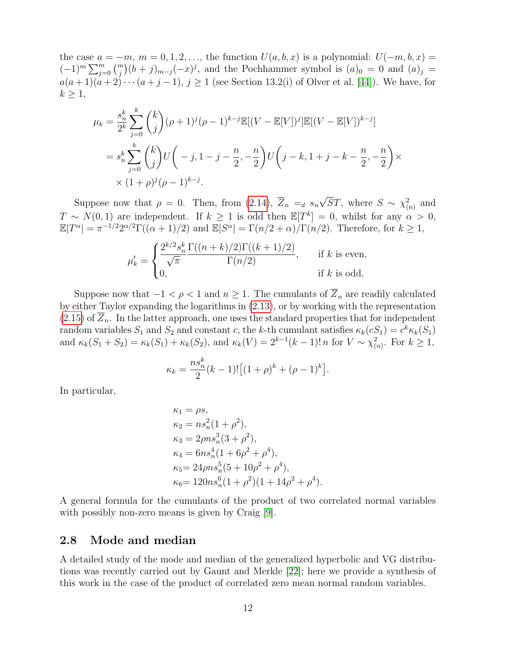the case  $a = -m$ ,  $m = 0, 1, 2, \ldots$ , the function  $U(a, b, x)$  is a polynomial:  $U(-m, b, x) =$  $(-1)^m \sum_{j=0}^m {m \choose j} (b+j)_{m-j} (-x)^j$ , and the Pochhammer symbol is  $(a)_0 = 0$  and  $(a)_j =$  $a(a+1)(a+2)\cdots(a+j-1), j\geq 1$  (see Section 13.2(i) of Olver et al. [\[44\]](#page-19-10)). We have, for  $k \geq 1$ ,

$$
\mu_k = \frac{s_n^k}{2^k} \sum_{j=0}^k {k \choose j} (\rho+1)^j (\rho-1)^{k-j} \mathbb{E}[(V-\mathbb{E}[V])^j] \mathbb{E}[(V-\mathbb{E}[V])^{k-j}]
$$
  
=  $s_n^k \sum_{j=0}^k {k \choose j} U(-j, 1-j-\frac{n}{2}, -\frac{n}{2}) U(j-k, 1+j-k-\frac{n}{2}, -\frac{n}{2}) \times$   
 $\times (1+\rho)^j (\rho-1)^{k-j}.$ 

Suppose now that  $\rho = 0$ . Then, from  $(2.14)$ ,  $Z_n =_d s_n$ √  $\overline{S}T$ , where  $S \sim \chi^2_{(n)}$  and  $T \sim N(0, 1)$  are independent. If  $k \geq 1$  is odd then  $\mathbb{E}[T^k] = 0$ , whilst for any  $\alpha > 0$ ,  $\mathbb{E}[T^{\alpha}] = \pi^{-1/2} 2^{\alpha/2} \Gamma((\alpha+1)/2)$  and  $\mathbb{E}[S^{\alpha}] = \Gamma(n/2+\alpha)/\Gamma(n/2)$ . Therefore, for  $k \geq 1$ ,

$$
\mu'_{k} = \begin{cases} \frac{2^{k/2} s_n^k}{\sqrt{\pi}} \frac{\Gamma((n+k)/2) \Gamma((k+1)/2)}{\Gamma(n/2)}, & \text{if } k \text{ is even,} \\ 0, & \text{if } k \text{ is odd.} \end{cases}
$$

Suppose now that  $-1 < \rho < 1$  and  $n \geq 1$ . The cumulants of  $\overline{Z}_n$  are readily calculated by either Taylor expanding the logarithms in [\(2.13\)](#page-6-3), or by working with the representation  $(2.15)$  of  $Z_n$ . In the latter approach, one uses the standard properties that for independent random variables  $S_1$  and  $S_2$  and constant c, the k-th cumulant satisfies  $\kappa_k(cS_1) = c^k \kappa_k(S_1)$ and  $\kappa_k(S_1 + S_2) = \kappa_k(S_1) + \kappa_k(S_2)$ , and  $\kappa_k(V) = 2^{k-1}(k-1)! n$  for  $V \sim \chi^2_{(n)}$ . For  $k \ge 1$ ,

$$
\kappa_k = \frac{n s_n^k}{2} (k-1)! \left[ (1+\rho)^k + (\rho - 1)^k \right].
$$

In particular,

$$
\kappa_1 = \rho s,
$$
  
\n
$$
\kappa_2 = n s_n^2 (1 + \rho^2),
$$
  
\n
$$
\kappa_3 = 2 \rho n s_n^3 (3 + \rho^2),
$$
  
\n
$$
\kappa_4 = 6 n s_n^4 (1 + 6 \rho^2 + \rho^4),
$$
  
\n
$$
\kappa_5 = 24 \rho n s_n^5 (5 + 10 \rho^2 + \rho^4),
$$
  
\n
$$
\kappa_6 = 120 n s_n^6 (1 + \rho^2) (1 + 14 \rho^2 + \rho^4).
$$

A general formula for the cumulants of the product of two correlated normal variables with possibly non-zero means is given by Craig [\[9\]](#page-18-1).

#### <span id="page-11-0"></span>2.8 Mode and median

A detailed study of the mode and median of the generalized hyperbolic and VG distributions was recently carried out by Gaunt and Merkle [\[22\]](#page-18-17); here we provide a synthesis of this work in the case of the product of correlated zero mean normal random variables.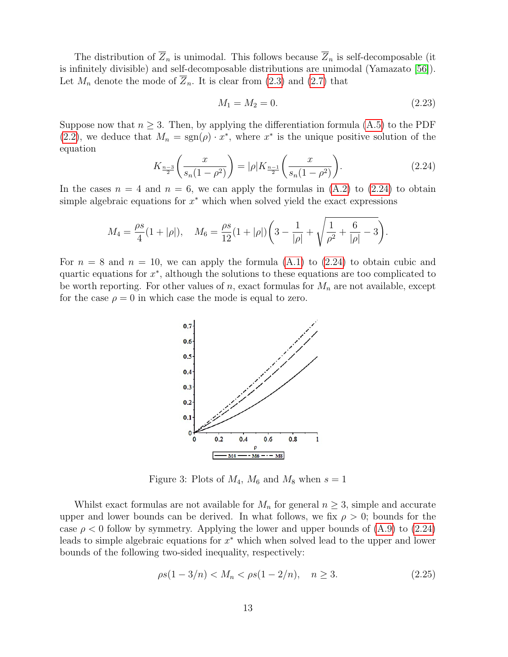The distribution of  $\overline{Z}_n$  is unimodal. This follows because  $\overline{Z}_n$  is self-decomposable (it is infinitely divisible) and self-decomposable distributions are unimodal (Yamazato [\[56\]](#page-20-5)). Let  $M_n$  denote the mode of  $Z_n$ . It is clear from [\(2.3\)](#page-2-4) and [\(2.7\)](#page-3-4) that

<span id="page-12-1"></span>
$$
M_1 = M_2 = 0.\t\t(2.23)
$$

Suppose now that  $n \geq 3$ . Then, by applying the differentiation formula [\(A.5\)](#page-17-4) to the PDF [\(2.2\)](#page-2-2), we deduce that  $M_n = sgn(\rho) \cdot x^*$ , where  $x^*$  is the unique positive solution of the equation

<span id="page-12-0"></span>
$$
K_{\frac{n-3}{2}}\left(\frac{x}{s_n(1-\rho^2)}\right) = |\rho| K_{\frac{n-1}{2}}\left(\frac{x}{s_n(1-\rho^2)}\right).
$$
 (2.24)

In the cases  $n = 4$  and  $n = 6$ , we can apply the formulas in  $(A.2)$  to  $(2.24)$  to obtain simple algebraic equations for  $x^*$  which when solved yield the exact expressions

$$
M_4 = \frac{\rho s}{4} (1 + |\rho|), \quad M_6 = \frac{\rho s}{12} (1 + |\rho|) \left( 3 - \frac{1}{|\rho|} + \sqrt{\frac{1}{\rho^2} + \frac{6}{|\rho|} - 3} \right).
$$

For  $n = 8$  and  $n = 10$ , we can apply the formula  $(A.1)$  to  $(2.24)$  to obtain cubic and quartic equations for  $x^*$ , although the solutions to these equations are too complicated to be worth reporting. For other values of n, exact formulas for  $M_n$  are not available, except for the case  $\rho = 0$  in which case the mode is equal to zero.



Figure 3: Plots of  $M_4$ ,  $M_6$  and  $M_8$  when  $s = 1$ 

Whilst exact formulas are not available for  $M_n$  for general  $n \geq 3$ , simple and accurate upper and lower bounds can be derived. In what follows, we fix  $\rho > 0$ ; bounds for the case  $\rho < 0$  follow by symmetry. Applying the lower and upper bounds of [\(A.9\)](#page-17-5) to [\(2.24\)](#page-12-0) leads to simple algebraic equations for  $x^*$  which when solved lead to the upper and lower bounds of the following two-sided inequality, respectively:

<span id="page-12-2"></span>
$$
\rho s(1 - 3/n) < M_n < \rho s(1 - 2/n), \quad n \ge 3. \tag{2.25}
$$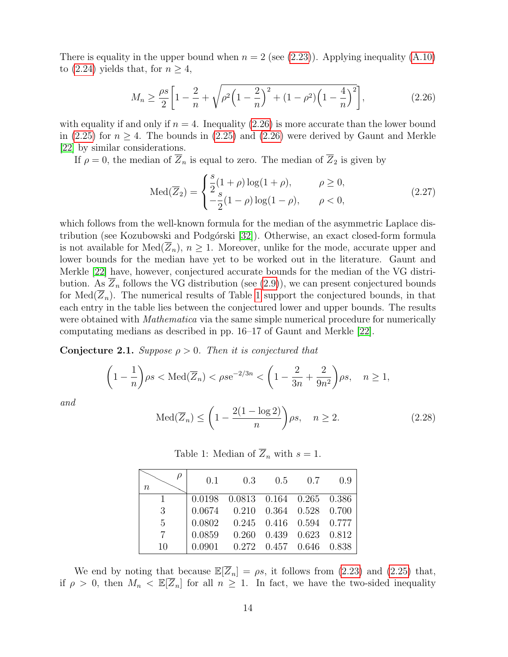There is equality in the upper bound when  $n = 2$  (see [\(2.23\)](#page-12-1)). Applying inequality [\(A.10\)](#page-17-6) to [\(2.24\)](#page-12-0) yields that, for  $n \geq 4$ ,

<span id="page-13-0"></span>
$$
M_n \ge \frac{\rho s}{2} \left[ 1 - \frac{2}{n} + \sqrt{\rho^2 \left( 1 - \frac{2}{n} \right)^2 + (1 - \rho^2) \left( 1 - \frac{4}{n} \right)^2} \right],\tag{2.26}
$$

with equality if and only if  $n = 4$ . Inequality [\(2.26\)](#page-13-0) is more accurate than the lower bound in [\(2.25\)](#page-12-2) for  $n \geq 4$ . The bounds in (2.25) and [\(2.26\)](#page-13-0) were derived by Gaunt and Merkle [\[22\]](#page-18-17) by similar considerations.

If  $\rho = 0$ , the median of  $\overline{Z}_n$  is equal to zero. The median of  $\overline{Z}_2$  is given by

$$
Med(\overline{Z}_{2}) = \begin{cases} \frac{s}{2}(1+\rho)\log(1+\rho), & \rho \ge 0, \\ -\frac{s}{2}(1-\rho)\log(1-\rho), & \rho < 0, \end{cases}
$$
 (2.27)

which follows from the well-known formula for the median of the asymmetric Laplace dis-tribution (see Kozubowski and Podgórski [\[32\]](#page-19-17)). Otherwise, an exact closed-form formula is not available for  $\text{Med}(\overline{Z}_n)$ ,  $n \geq 1$ . Moreover, unlike for the mode, accurate upper and lower bounds for the median have yet to be worked out in the literature. Gaunt and Merkle [\[22\]](#page-18-17) have, however, conjectured accurate bounds for the median of the VG distribution. As  $\overline{Z}_n$  follows the VG distribution (see [\(2.9\)](#page-4-1)), we can present conjectured bounds for  $Med(Z_n)$ . The numerical results of Table [1](#page-13-1) support the conjectured bounds, in that each entry in the table lies between the conjectured lower and upper bounds. The results were obtained with *Mathematica* via the same simple numerical procedure for numerically computating medians as described in pp. 16–17 of Gaunt and Merkle [\[22\]](#page-18-17).

**Conjecture 2.1.** Suppose  $\rho > 0$ . Then it is conjectured that

$$
\left(1-\frac{1}{n}\right)\rho s < \text{Med}(\overline{Z}_n) < \rho s e^{-2/3n} < \left(1-\frac{2}{3n}+\frac{2}{9n^2}\right)\rho s, \quad n \ge 1,
$$

<span id="page-13-1"></span>and

$$
\operatorname{Med}(\overline{Z}_n) \le \left(1 - \frac{2(1 - \log 2)}{n}\right)\rho s, \quad n \ge 2. \tag{2.28}
$$

| $\, n$         | 0.1    | $0.3 -$                                  | 0.5 | 0.7                     | 0.9 |
|----------------|--------|------------------------------------------|-----|-------------------------|-----|
|                |        | 0.0198 0.0813 0.164 0.265 0.386          |     |                         |     |
| 3              |        | 0.0674 0.210 0.364 0.528 0.700           |     |                         |     |
| $\overline{5}$ |        | $0.0802$ $0.245$ $0.416$ $0.594$ $0.777$ |     |                         |     |
| 7              | 0.0859 | 0.260                                    |     | $0.439$ $0.623$ $0.812$ |     |
| 10             | 0.0901 | 0.272                                    |     | $0.457$ $0.646$ $0.838$ |     |

Table 1: Median of  $\overline{Z}_n$  with  $s=1$ .

We end by noting that because  $\mathbb{E}[\overline{Z}_n] = \rho s$ , it follows from [\(2.23\)](#page-12-1) and [\(2.25\)](#page-12-2) that, if  $\rho > 0$ , then  $M_n < \mathbb{E}[\overline{Z}_n]$  for all  $n \geq 1$ . In fact, we have the two-sided inequality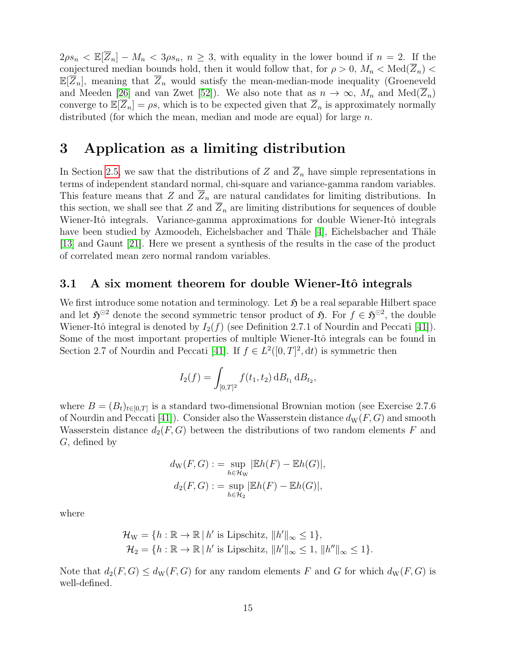$2\rho s_n < \mathbb{E}[Z_n] - M_n < 3\rho s_n$ ,  $n \geq 3$ , with equality in the lower bound if  $n = 2$ . If the conjectured median bounds hold, then it would follow that, for  $\rho > 0$ ,  $M_n < \text{Med}(\overline{Z}_n)$  $\mathbb{E}[\overline{Z}_n]$ , meaning that  $\overline{Z}_n$  would satisfy the mean-median-mode inequality (Groeneveld and Meeden [\[26\]](#page-19-18) and van Zwet [\[52\]](#page-20-6)). We also note that as  $n \to \infty$ ,  $M_n$  and  $\text{Med}(\overline{Z}_n)$ converge to  $\mathbb{E}[Z_n] = \rho s$ , which is to be expected given that  $\overline{Z}_n$  is approximately normally distributed (for which the mean, median and mode are equal) for large  $n$ .

## <span id="page-14-0"></span>3 Application as a limiting distribution

In Section [2.5,](#page-6-1) we saw that the distributions of Z and  $\overline{Z}_n$  have simple representations in terms of independent standard normal, chi-square and variance-gamma random variables. This feature means that Z and  $\overline{Z}_n$  are natural candidates for limiting distributions. In this section, we shall see that Z and  $\overline{Z}_n$  are limiting distributions for sequences of double Wiener-Itô integrals. Variance-gamma approximations for double Wiener-Itô integrals have been studied by Azmoodeh, Eichelsbacher and Thäle [\[4\]](#page-18-18), Eichelsbacher and Thäle [\[13\]](#page-18-19) and Gaunt [\[21\]](#page-18-20). Here we present a synthesis of the results in the case of the product of correlated mean zero normal random variables.

#### 3.1 A six moment theorem for double Wiener-Itô integrals

We first introduce some notation and terminology. Let  $\mathfrak{H}$  be a real separable Hilbert space and let  $\mathfrak{H}^{\odot 2}$  denote the second symmetric tensor product of  $\mathfrak{H}$ . For  $f \in \mathfrak{H}^{\odot 2}$ , the double Wiener-Itô integral is denoted by  $I_2(f)$  (see Definition 2.7.1 of Nourdin and Peccati [\[41\]](#page-19-13)). Some of the most important properties of multiple Wiener-Itô integrals can be found in Section 2.7 of Nourdin and Peccati [\[41\]](#page-19-13). If  $f \in L^2([0,T]^2, dt)$  is symmetric then

$$
I_2(f) = \int_{[0,T]^2} f(t_1, t_2) \, dB_{t_1} \, dB_{t_2},
$$

where  $B = (B_t)_{t \in [0,T]}$  is a standard two-dimensional Brownian motion (see Exercise 2.7.6) of Nourdin and Peccati [\[41\]](#page-19-13)). Consider also the Wasserstein distance  $d_W(F, G)$  and smooth Wasserstein distance  $d_2(F, G)$  between the distributions of two random elements F and G, defined by

$$
d_{\mathrm{W}}(F,G) := \sup_{h \in \mathcal{H}_{\mathrm{W}}} |\mathbb{E}h(F) - \mathbb{E}h(G)|,
$$
  

$$
d_2(F,G) := \sup_{h \in \mathcal{H}_2} |\mathbb{E}h(F) - \mathbb{E}h(G)|,
$$

where

$$
\mathcal{H}_{\mathcal{W}} = \{ h : \mathbb{R} \to \mathbb{R} \mid h' \text{ is Lipschitz, } \|h'\|_{\infty} \le 1 \},
$$
  

$$
\mathcal{H}_2 = \{ h : \mathbb{R} \to \mathbb{R} \mid h' \text{ is Lipschitz, } \|h'\|_{\infty} \le 1, \|h''\|_{\infty} \le 1 \}.
$$

Note that  $d_2(F, G) \leq d_W(F, G)$  for any random elements F and G for which  $d_W(F, G)$  is well-defined.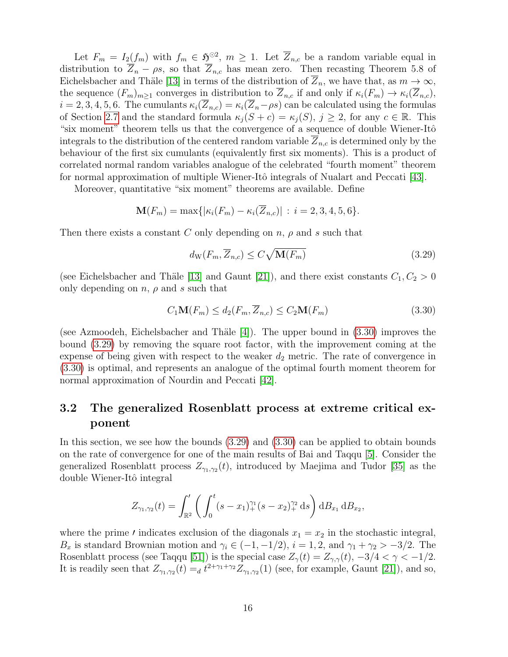Let  $F_m = I_2(f_m)$  with  $f_m \in \mathfrak{H}^{\odot 2}$ ,  $m \geq 1$ . Let  $\overline{Z}_{n,c}$  be a random variable equal in distribution to  $\overline{Z}_n - \rho s$ , so that  $\overline{Z}_{n,c}$  has mean zero. Then recasting Theorem 5.8 of Eichelsbacher and Thäle [\[13\]](#page-18-19) in terms of the distribution of  $Z_n$ , we have that, as  $m \to \infty$ , the sequence  $(F_m)_{m\geq 1}$  converges in distribution to  $\overline{Z}_{n,c}$  if and only if  $\kappa_i(F_m) \to \kappa_i(\overline{Z}_{n,c}),$  $i = 2, 3, 4, 5, 6$ . The cumulants  $\kappa_i(\overline{Z}_{n,c}) = \kappa_i(\overline{Z}_{n} - \rho s)$  can be calculated using the formulas of Section [2.7](#page-8-1) and the standard formula  $\kappa_j(S+c) = \kappa_j(S), j \geq 2$ , for any  $c \in \mathbb{R}$ . This "six moment" theorem tells us that the convergence of a sequence of double Wiener-Itô integrals to the distribution of the centered random variable  $Z_{n,c}$  is determined only by the behaviour of the first six cumulants (equivalently first six moments). This is a product of correlated normal random variables analogue of the celebrated "fourth moment" theorem for normal approximation of multiple Wiener-Itô integrals of Nualart and Peccati [\[43\]](#page-19-19).

Moreover, quantitative "six moment" theorems are available. Define

$$
\mathbf{M}(F_m) = \max\{|\kappa_i(F_m) - \kappa_i(\overline{Z}_{n,c})| : i = 2, 3, 4, 5, 6\}.
$$

Then there exists a constant C only depending on  $n$ ,  $\rho$  and s such that

<span id="page-15-1"></span>
$$
d_{\rm W}(F_m, \overline{Z}_{n,c}) \le C\sqrt{\mathbf{M}(F_m)}\tag{3.29}
$$

(see Eichelsbacher and Thäle [\[13\]](#page-18-19) and Gaunt [\[21\]](#page-18-20)), and there exist constants  $C_1, C_2 > 0$ only depending on  $n$ ,  $\rho$  and  $s$  such that

<span id="page-15-0"></span>
$$
C_1 \mathbf{M}(F_m) \le d_2(F_m, \overline{Z}_{n,c}) \le C_2 \mathbf{M}(F_m) \tag{3.30}
$$

(see Azmoodeh, Eichelsbacher and Thäle  $[4]$ ). The upper bound in  $(3.30)$  improves the bound [\(3.29\)](#page-15-1) by removing the square root factor, with the improvement coming at the expense of being given with respect to the weaker  $d_2$  metric. The rate of convergence in [\(3.30\)](#page-15-0) is optimal, and represents an analogue of the optimal fourth moment theorem for normal approximation of Nourdin and Peccati [\[42\]](#page-19-20).

### 3.2 The generalized Rosenblatt process at extreme critical exponent

In this section, we see how the bounds [\(3.29\)](#page-15-1) and [\(3.30\)](#page-15-0) can be applied to obtain bounds on the rate of convergence for one of the main results of Bai and Taqqu [\[5\]](#page-18-21). Consider the generalized Rosenblatt process  $Z_{\gamma_1,\gamma_2}(t)$ , introduced by Maejima and Tudor [\[35\]](#page-19-21) as the double Wiener-Itô integral

$$
Z_{\gamma_1,\gamma_2}(t) = \int_{\mathbb{R}^2} \left( \int_0^t (s-x_1)_+^{\gamma_1}(s-x_2)_+^{\gamma_2} ds \right) dB_{x_1} dB_{x_2},
$$

where the prime *l* indicates exclusion of the diagonals  $x_1 = x_2$  in the stochastic integral,  $B_x$  is standard Brownian motion and  $\gamma_i \in (-1, -1/2), i = 1, 2$ , and  $\gamma_1 + \gamma_2 > -3/2$ . The Rosenblatt process (see Taqqu [\[51\]](#page-20-7)) is the special case  $Z_{\gamma}(t) = Z_{\gamma,\gamma}(t), -3/4 < \gamma < -1/2$ . It is readily seen that  $Z_{\gamma_1,\gamma_2}(t) =_d t^{2+\gamma_1+\gamma_2} Z_{\gamma_1,\gamma_2}(1)$  (see, for example, Gaunt [\[21\]](#page-18-20)), and so,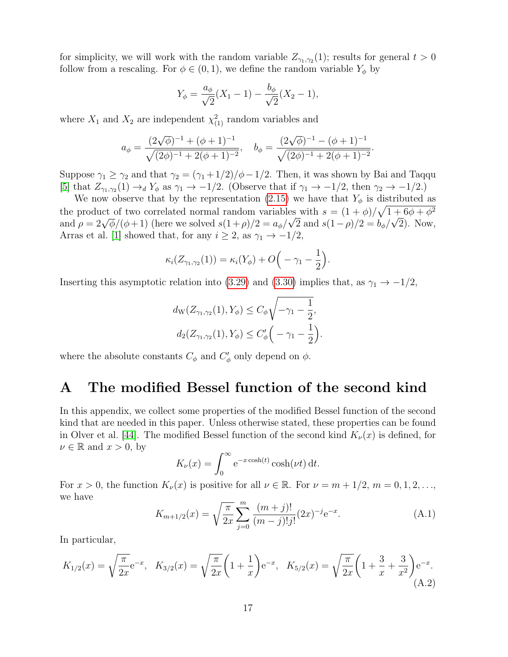for simplicity, we will work with the random variable  $Z_{\gamma_1,\gamma_2}(1)$ ; results for general  $t > 0$ follow from a rescaling. For  $\phi \in (0,1)$ , we define the random variable  $Y_{\phi}$  by

$$
Y_{\phi} = \frac{a_{\phi}}{\sqrt{2}}(X_1 - 1) - \frac{b_{\phi}}{\sqrt{2}}(X_2 - 1),
$$

where  $X_1$  and  $X_2$  are independent  $\chi^2_{(1)}$  random variables and

$$
a_{\phi} = \frac{(2\sqrt{\phi})^{-1} + (\phi + 1)^{-1}}{\sqrt{(2\phi)^{-1} + 2(\phi + 1)^{-2}}}, \quad b_{\phi} = \frac{(2\sqrt{\phi})^{-1} - (\phi + 1)^{-1}}{\sqrt{(2\phi)^{-1} + 2(\phi + 1)^{-2}}}.
$$

Suppose  $\gamma_1 \geq \gamma_2$  and that  $\gamma_2 = (\gamma_1 + 1/2)/\phi - 1/2$ . Then, it was shown by Bai and Taqqu [\[5\]](#page-18-21) that  $Z_{\gamma_1,\gamma_2}(1) \to_d Y_\phi$  as  $\gamma_1 \to -1/2$ . (Observe that if  $\gamma_1 \to -1/2$ , then  $\gamma_2 \to -1/2$ .)

We now observe that by the representation [\(2.15\)](#page-7-1) we have that  $Y_{\phi}$  is distributed as the product of two correlated normal random variables with  $s = (1 + \phi)/\sqrt{1 + 6\phi + \phi^2}$ and  $\rho = 2\sqrt{\phi}/(\phi+1)$  (here we solved  $s(1+\rho)/2 = a_{\phi}/\sqrt{2}$  and  $s(1-\rho)/2 = b_{\phi}/\sqrt{2}$ ). Now, Arras et al. [\[1\]](#page-18-22) showed that, for any  $i \geq 2$ , as  $\gamma_1 \rightarrow -1/2$ ,

$$
\kappa_i(Z_{\gamma_1,\gamma_2}(1))=\kappa_i(Y_{\phi})+O\Big(-\gamma_1-\frac{1}{2}\Big).
$$

Inserting this asymptotic relation into [\(3.29\)](#page-15-1) and [\(3.30\)](#page-15-0) implies that, as  $\gamma_1 \rightarrow -1/2$ ,

$$
d_{\rm W}(Z_{\gamma_1,\gamma_2}(1), Y_{\phi}) \le C_{\phi} \sqrt{-\gamma_1 - \frac{1}{2}},
$$
  

$$
d_2(Z_{\gamma_1,\gamma_2}(1), Y_{\phi}) \le C_{\phi}' \left(-\gamma_1 - \frac{1}{2}\right)
$$

where the absolute constants  $C_{\phi}$  and  $C_{\phi}'$  only depend on  $\phi$ .

## <span id="page-16-0"></span>A The modified Bessel function of the second kind

In this appendix, we collect some properties of the modified Bessel function of the second kind that are needed in this paper. Unless otherwise stated, these properties can be found in Olver et al. [\[44\]](#page-19-10). The modified Bessel function of the second kind  $K_{\nu}(x)$  is defined, for  $\nu \in \mathbb{R}$  and  $x > 0$ , by

$$
K_{\nu}(x) = \int_0^{\infty} e^{-x \cosh(t)} \cosh(\nu t) dt.
$$

For  $x > 0$ , the function  $K_{\nu}(x)$  is positive for all  $\nu \in \mathbb{R}$ . For  $\nu = m + 1/2$ ,  $m = 0, 1, 2, \ldots$ , we have

<span id="page-16-1"></span>
$$
K_{m+1/2}(x) = \sqrt{\frac{\pi}{2x}} \sum_{j=0}^{m} \frac{(m+j)!}{(m-j)!j!} (2x)^{-j} e^{-x}.
$$
 (A.1)

.

In particular,

<span id="page-16-2"></span>
$$
K_{1/2}(x) = \sqrt{\frac{\pi}{2x}} e^{-x}, \quad K_{3/2}(x) = \sqrt{\frac{\pi}{2x}} \left( 1 + \frac{1}{x} \right) e^{-x}, \quad K_{5/2}(x) = \sqrt{\frac{\pi}{2x}} \left( 1 + \frac{3}{x} + \frac{3}{x^2} \right) e^{-x}.
$$
\n(A.2)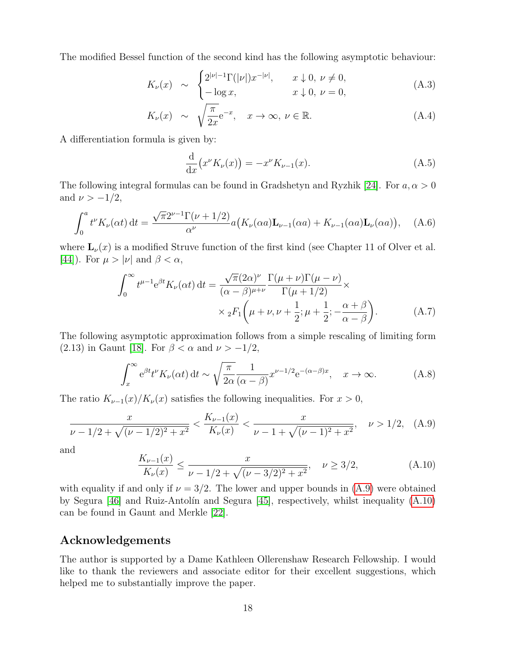The modified Bessel function of the second kind has the following asymptotic behaviour:

<span id="page-17-0"></span>
$$
K_{\nu}(x) \sim \begin{cases} 2^{|\nu|-1} \Gamma(|\nu|) x^{-|\nu|}, & x \downarrow 0, \nu \neq 0, \\ -\log x, & x \downarrow 0, \nu = 0, \end{cases}
$$
(A.3)

$$
K_{\nu}(x) \sim \sqrt{\frac{\pi}{2x}} e^{-x}, \quad x \to \infty, \ \nu \in \mathbb{R}.
$$
 (A.4)

A differentiation formula is given by:

<span id="page-17-4"></span><span id="page-17-3"></span>
$$
\frac{\mathrm{d}}{\mathrm{d}x}(x^{\nu}K_{\nu}(x)) = -x^{\nu}K_{\nu-1}(x). \tag{A.5}
$$

The following integral formulas can be found in Gradshetyn and Ryzhik [\[24\]](#page-19-22). For  $a, \alpha > 0$ and  $\nu > -1/2$ ,

<span id="page-17-1"></span>
$$
\int_0^a t^{\nu} K_{\nu}(\alpha t) dt = \frac{\sqrt{\pi} 2^{\nu-1} \Gamma(\nu + 1/2)}{\alpha^{\nu}} a(K_{\nu}(\alpha a) \mathbf{L}_{\nu-1}(\alpha a) + K_{\nu-1}(\alpha a) \mathbf{L}_{\nu}(\alpha a)), \quad (A.6)
$$

where  $\mathbf{L}_{\nu}(x)$  is a modified Struve function of the first kind (see Chapter 11 of Olver et al. [\[44\]](#page-19-10)). For  $\mu > |\nu|$  and  $\beta < \alpha$ ,

$$
\int_0^\infty t^{\mu-1} e^{\beta t} K_\nu(\alpha t) dt = \frac{\sqrt{\pi} (2\alpha)^\nu}{(\alpha - \beta)^{\mu+\nu}} \frac{\Gamma(\mu+\nu)\Gamma(\mu-\nu)}{\Gamma(\mu+1/2)} \times \times {}_2F_1\left(\mu+\nu,\nu+\frac{1}{2};\mu+\frac{1}{2};-\frac{\alpha+\beta}{\alpha-\beta}\right).
$$
 (A.7)

The following asymptotic approximation follows from a simple rescaling of limiting form (2.13) in Gaunt [\[18\]](#page-18-13). For  $\beta < \alpha$  and  $\nu > -1/2$ ,

<span id="page-17-2"></span>
$$
\int_{x}^{\infty} e^{\beta t} t^{\nu} K_{\nu}(\alpha t) dt \sim \sqrt{\frac{\pi}{2\alpha}} \frac{1}{(\alpha - \beta)} x^{\nu - 1/2} e^{-(\alpha - \beta)x}, \quad x \to \infty.
$$
 (A.8)

The ratio  $K_{\nu-1}(x)/K_{\nu}(x)$  satisfies the following inequalities. For  $x > 0$ ,

<span id="page-17-5"></span>
$$
\frac{x}{\nu - 1/2 + \sqrt{(\nu - 1/2)^2 + x^2}} < \frac{K_{\nu - 1}(x)}{K_{\nu}(x)} < \frac{x}{\nu - 1 + \sqrt{(\nu - 1)^2 + x^2}}, \quad \nu > 1/2,\tag{A.9}
$$

and

<span id="page-17-6"></span>
$$
\frac{K_{\nu-1}(x)}{K_{\nu}(x)} \le \frac{x}{\nu - 1/2 + \sqrt{(\nu - 3/2)^2 + x^2}}, \quad \nu \ge 3/2,
$$
\n(A.10)

with equality if and only if  $\nu = 3/2$ . The lower and upper bounds in [\(A.9\)](#page-17-5) were obtained by Segura [\[46\]](#page-19-23) and Ruiz-Antolín and Segura [\[45\]](#page-19-24), respectively, whilst inequality  $(A.10)$ can be found in Gaunt and Merkle [\[22\]](#page-18-17).

#### Acknowledgements

The author is supported by a Dame Kathleen Ollerenshaw Research Fellowship. I would like to thank the reviewers and associate editor for their excellent suggestions, which helped me to substantially improve the paper.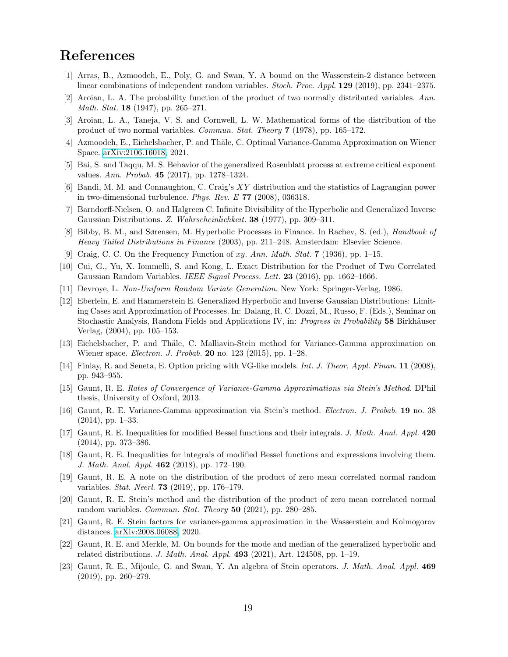## References

- <span id="page-18-22"></span>[1] Arras, B., Azmoodeh, E., Poly, G. and Swan, Y. A bound on the Wasserstein-2 distance between linear combinations of independent random variables. *Stoch. Proc. Appl.* **129** (2019), pp. 2341–2375.
- <span id="page-18-2"></span>[2] Aroian, L. A. The probability function of the product of two normally distributed variables. Ann. Math. Stat. 18 (1947), pp. 265–271.
- <span id="page-18-3"></span>[3] Aroian, L. A., Taneja, V. S. and Cornwell, L. W. Mathematical forms of the distribution of the product of two normal variables. Commun. Stat. Theory 7 (1978), pp. 165–172.
- <span id="page-18-18"></span>[4] Azmoodeh, E., Eichelsbacher, P. and Thäle, C. Optimal Variance-Gamma Approximation on Wiener Space. [arXiv:2106.16018,](http://arxiv.org/abs/2106.16018) 2021.
- <span id="page-18-21"></span>[5] Bai, S. and Taqqu, M. S. Behavior of the generalized Rosenblatt process at extreme critical exponent values. Ann. Probab. 45 (2017), pp. 1278–1324.
- <span id="page-18-0"></span>[6] Bandi, M. M. and Connaughton, C. Craig's XY distribution and the statistics of Lagrangian power in two-dimensional turbulence. Phys. Rev. E 77 (2008), 036318.
- <span id="page-18-14"></span>[7] Barndorff-Nielsen, O. and Halgreen C. Infinite Divisibility of the Hyperbolic and Generalized Inverse Gaussian Distributions. Z. Wahrscheinlichkeit. 38 (1977), pp. 309–311.
- <span id="page-18-15"></span>[8] Bibby, B. M., and Sørensen, M. Hyperbolic Processes in Finance. In Rachev, S. (ed.), *Handbook of* Heavy Tailed Distributions in Finance (2003), pp. 211–248. Amsterdam: Elsevier Science.
- <span id="page-18-1"></span>[9] Craig, C. C. On the Frequency Function of  $xy$ . Ann. Math. Stat. 7 (1936), pp. 1–15.
- <span id="page-18-10"></span>[10] Cui, G., Yu, X. Iommelli, S. and Kong, L. Exact Distribution for the Product of Two Correlated Gaussian Random Variables. IEEE Signal Process. Lett. 23 (2016), pp. 1662–1666.
- <span id="page-18-16"></span>[11] Devroye, L. Non-Uniform Random Variate Generation. New York: Springer-Verlag, 1986.
- <span id="page-18-8"></span>[12] Eberlein, E. and Hammerstein E. Generalized Hyperbolic and Inverse Gaussian Distributions: Limiting Cases and Approximation of Processes. In: Dalang, R. C. Dozzi, M., Russo, F. (Eds.), Seminar on Stochastic Analysis, Random Fields and Applications IV, in: Progress in Probability 58 Birkhäuser Verlag, (2004), pp. 105–153.
- <span id="page-18-19"></span>[13] Eichelsbacher, P. and Thäle, C. Malliavin-Stein method for Variance-Gamma approximation on Wiener space. Electron. J. Probab. 20 no. 123 (2015), pp. 1–28.
- <span id="page-18-7"></span>[14] Finlay, R. and Seneta, E. Option pricing with VG-like models. *Int. J. Theor. Appl. Finan.* **11** (2008), pp. 943–955.
- <span id="page-18-9"></span>[15] Gaunt, R. E. Rates of Convergence of Variance-Gamma Approximations via Stein's Method. DPhil thesis, University of Oxford, 2013.
- <span id="page-18-6"></span>[16] Gaunt, R. E. Variance-Gamma approximation via Stein's method. Electron. J. Probab. 19 no. 38 (2014), pp. 1–33.
- <span id="page-18-12"></span>[17] Gaunt, R. E. Inequalities for modified Bessel functions and their integrals. J. Math. Anal. Appl. 420 (2014), pp. 373–386.
- <span id="page-18-13"></span>[18] Gaunt, R. E. Inequalities for integrals of modified Bessel functions and expressions involving them. J. Math. Anal. Appl. 462 (2018), pp. 172–190.
- <span id="page-18-4"></span>[19] Gaunt, R. E. A note on the distribution of the product of zero mean correlated normal random variables. Stat. Neerl. 73 (2019), pp. 176–179.
- <span id="page-18-5"></span>[20] Gaunt, R. E. Stein's method and the distribution of the product of zero mean correlated normal random variables. *Commun. Stat. Theory* **50** (2021), pp. 280–285.
- <span id="page-18-20"></span>[21] Gaunt, R. E. Stein factors for variance-gamma approximation in the Wasserstein and Kolmogorov distances. [arXiv:2008.06088,](http://arxiv.org/abs/2008.06088) 2020.
- <span id="page-18-17"></span>[22] Gaunt, R. E. and Merkle, M. On bounds for the mode and median of the generalized hyperbolic and related distributions. *J. Math. Anal. Appl.* **493** (2021), Art. 124508, pp. 1–19.
- <span id="page-18-11"></span>[23] Gaunt, R. E., Mijoule, G. and Swan, Y. An algebra of Stein operators. J. Math. Anal. Appl. 469 (2019), pp. 260–279.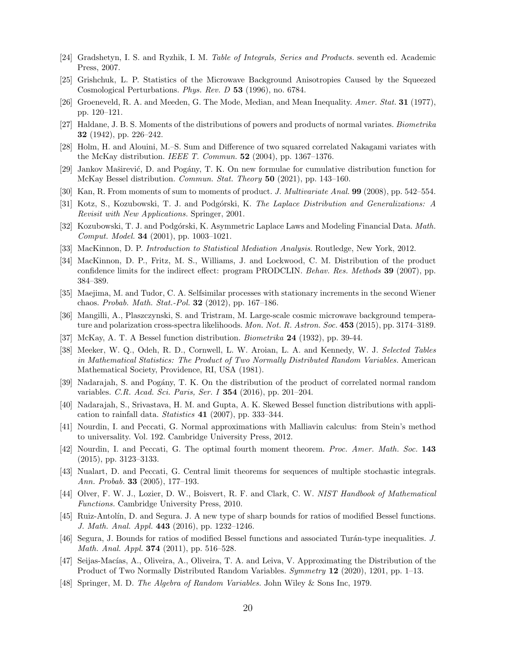- <span id="page-19-22"></span>[24] Gradshetyn, I. S. and Ryzhik, I. M. Table of Integrals, Series and Products. seventh ed. Academic Press, 2007.
- <span id="page-19-3"></span>[25] Grishchuk, L. P. Statistics of the Microwave Background Anisotropies Caused by the Squeezed Cosmological Perturbations. Phys. Rev. D 53 (1996), no. 6784.
- <span id="page-19-18"></span>[26] Groeneveld, R. A. and Meeden, G. The Mode, Median, and Mean Inequality. Amer. Stat. 31 (1977), pp. 120–121.
- <span id="page-19-4"></span>[27] Haldane, J. B. S. Moments of the distributions of powers and products of normal variates. Biometrika 32 (1942), pp. 226–242.
- <span id="page-19-16"></span>[28] Holm, H. and Alouini, M.–S. Sum and Difference of two squared correlated Nakagami variates with the McKay distribution. IEEE T. Commun.  $52$  (2004), pp. 1367–1376.
- <span id="page-19-11"></span>[29] Jankov Maširević, D. and Pogány, T. K. On new formulae for cumulative distribution function for McKay Bessel distribution. *Commun. Stat. Theory* 50 (2021), pp. 143–160.
- <span id="page-19-15"></span>[30] Kan, R. From moments of sum to moments of product. J. Multivariate Anal. 99 (2008), pp. 542–554.
- <span id="page-19-8"></span>[31] Kotz, S., Kozubowski, T. J. and Podgórski, K. The Laplace Distribution and Generalizations: A Revisit with New Applications. Springer, 2001.
- <span id="page-19-17"></span>[32] Kozubowski, T. J. and Podgórski, K. Asymmetric Laplace Laws and Modeling Financial Data. Math. Comput. Model. 34 (2001), pp. 1003–1021.
- <span id="page-19-1"></span>[33] MacKinnon, D. P. *Introduction to Statistical Mediation Analysis*. Routledge, New York, 2012.
- <span id="page-19-0"></span>[34] MacKinnon, D. P., Fritz, M. S., Williams, J. and Lockwood, C. M. Distribution of the product confidence limits for the indirect effect: program PRODCLIN. *Behav. Res. Methods* **39** (2007), pp. 384–389.
- <span id="page-19-21"></span>[35] Maejima, M. and Tudor, C. A. Selfsimilar processes with stationary increments in the second Wiener chaos. Probab. Math. Stat.-Pol. 32 (2012), pp. 167–186.
- <span id="page-19-2"></span>[36] Mangilli, A., Plaszczynski, S. and Tristram, M. Large-scale cosmic microwave background temperature and polarization cross-spectra likelihoods. Mon. Not. R. Astron. Soc. 453 (2015), pp. 3174–3189.
- <span id="page-19-9"></span>[37] McKay, A. T. A Bessel function distribution. Biometrika 24 (1932), pp. 39-44.
- <span id="page-19-5"></span>[38] Meeker, W. Q., Odeh, R. D., Cornwell, L. W. Aroian, L. A. and Kennedy, W. J. Selected Tables in Mathematical Statistics: The Product of Two Normally Distributed Random Variables. American Mathematical Society, Providence, RI, USA (1981).
- <span id="page-19-6"></span>[39] Nadarajah, S. and Pogány, T. K. On the distribution of the product of correlated normal random variables. C.R. Acad. Sci. Paris, Ser. I 354 (2016), pp. 201–204.
- <span id="page-19-12"></span>[40] Nadarajah, S., Srivastava, H. M. and Gupta, A. K. Skewed Bessel function distributions with application to rainfall data. Statistics 41 (2007), pp. 333–344.
- <span id="page-19-13"></span>[41] Nourdin, I. and Peccati, G. Normal approximations with Malliavin calculus: from Stein's method to universality. Vol. 192. Cambridge University Press, 2012.
- <span id="page-19-20"></span>[42] Nourdin, I. and Peccati, G. The optimal fourth moment theorem. Proc. Amer. Math. Soc. 143 (2015), pp. 3123–3133.
- <span id="page-19-19"></span>[43] Nualart, D. and Peccati, G. Central limit theorems for sequences of multiple stochastic integrals. Ann. Probab. 33 (2005), 177–193.
- <span id="page-19-10"></span>[44] Olver, F. W. J., Lozier, D. W., Boisvert, R. F. and Clark, C. W. NIST Handbook of Mathematical Functions. Cambridge University Press, 2010.
- <span id="page-19-24"></span>[45] Ruiz-Antol´ın, D. and Segura. J. A new type of sharp bounds for ratios of modified Bessel functions. J. Math. Anal. Appl. 443 (2016), pp. 1232–1246.
- <span id="page-19-23"></span>[46] Segura, J. Bounds for ratios of modified Bessel functions and associated Turán-type inequalities. J. Math. Anal. Appl. **374** (2011), pp. 516–528.
- <span id="page-19-14"></span>[47] Seijas-Macías, A., Oliveira, A., Oliveira, T. A. and Leiva, V. Approximating the Distribution of the Product of Two Normally Distributed Random Variables. Symmetry 12 (2020), 1201, pp. 1–13.
- <span id="page-19-7"></span>[48] Springer, M. D. The Algebra of Random Variables. John Wiley & Sons Inc, 1979.